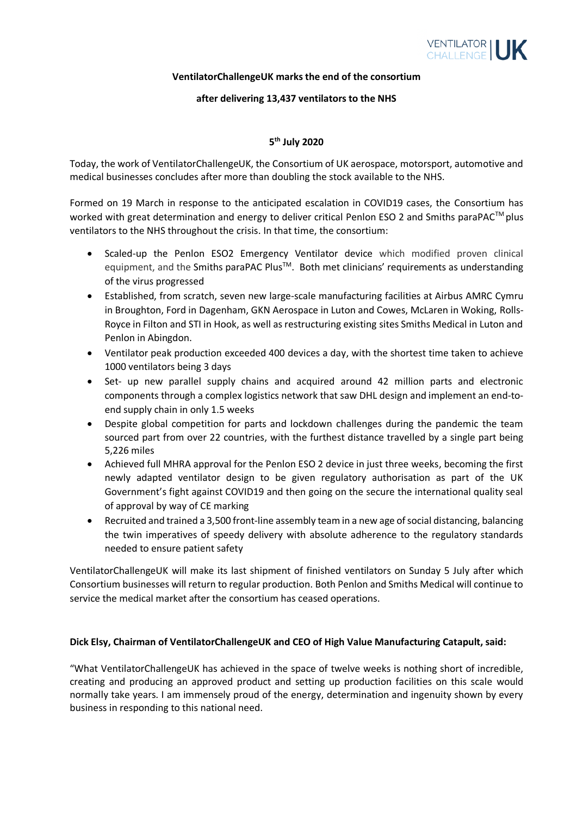

#### **VentilatorChallengeUK marks the end of the consortium**

## **after delivering 13,437 ventilators to the NHS**

# **5 th July 2020**

Today, the work of VentilatorChallengeUK, the Consortium of UK aerospace, motorsport, automotive and medical businesses concludes after more than doubling the stock available to the NHS.

Formed on 19 March in response to the anticipated escalation in COVID19 cases, the Consortium has worked with great determination and energy to deliver critical Penlon ESO 2 and Smiths paraPAC<sup>™</sup> plus ventilators to the NHS throughout the crisis. In that time, the consortium:

- Scaled-up the Penlon ESO2 Emergency Ventilator device which modified proven clinical equipment, and the Smiths paraPAC Plus<sup>™</sup>. Both met clinicians' requirements as understanding of the virus progressed
- Established, from scratch, seven new large-scale manufacturing facilities at Airbus AMRC Cymru in Broughton, Ford in Dagenham, GKN Aerospace in Luton and Cowes, McLaren in Woking, Rolls-Royce in Filton and STI in Hook, as well as restructuring existing sites Smiths Medical in Luton and Penlon in Abingdon.
- Ventilator peak production exceeded 400 devices a day, with the shortest time taken to achieve 1000 ventilators being 3 days
- Set- up new parallel supply chains and acquired around 42 million parts and electronic components through a complex logistics network that saw DHL design and implement an end-toend supply chain in only 1.5 weeks
- Despite global competition for parts and lockdown challenges during the pandemic the team sourced part from over 22 countries, with the furthest distance travelled by a single part being 5,226 miles
- Achieved full MHRA approval for the Penlon ESO 2 device in just three weeks, becoming the first newly adapted ventilator design to be given regulatory authorisation as part of the UK Government's fight against COVID19 and then going on the secure the international quality seal of approval by way of CE marking
- Recruited and trained a 3,500 front-line assembly team in a new age of social distancing, balancing the twin imperatives of speedy delivery with absolute adherence to the regulatory standards needed to ensure patient safety

VentilatorChallengeUK will make its last shipment of finished ventilators on Sunday 5 July after which Consortium businesses will return to regular production. Both Penlon and Smiths Medical will continue to service the medical market after the consortium has ceased operations.

## **Dick Elsy, Chairman of VentilatorChallengeUK and CEO of High Value Manufacturing Catapult, said:**

"What VentilatorChallengeUK has achieved in the space of twelve weeks is nothing short of incredible, creating and producing an approved product and setting up production facilities on this scale would normally take years. I am immensely proud of the energy, determination and ingenuity shown by every business in responding to this national need.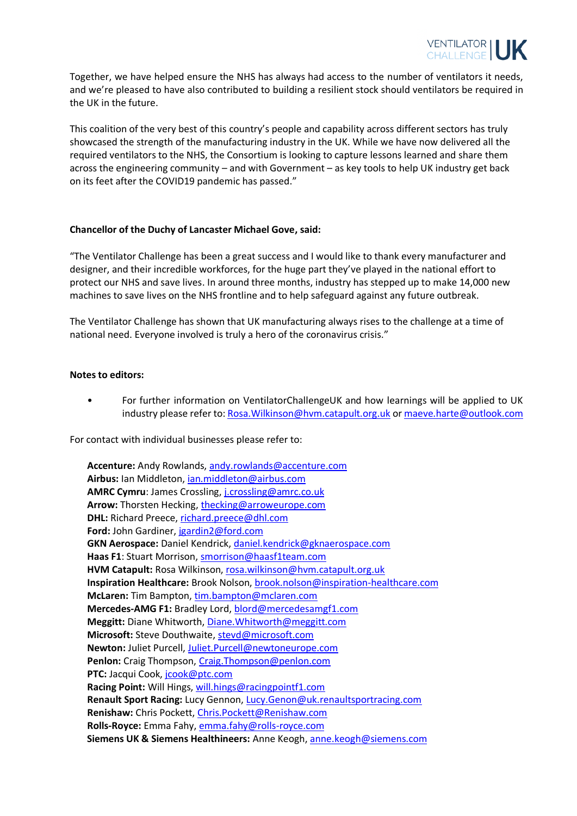

Together, we have helped ensure the NHS has always had access to the number of ventilators it needs, and we're pleased to have also contributed to building a resilient stock should ventilators be required in the UK in the future.

This coalition of the very best of this country's people and capability across different sectors has truly showcased the strength of the manufacturing industry in the UK. While we have now delivered all the required ventilators to the NHS, the Consortium is looking to capture lessons learned and share them across the engineering community – and with Government – as key tools to help UK industry get back on its feet after the COVID19 pandemic has passed."

## **Chancellor of the Duchy of Lancaster Michael Gove, said:**

"The Ventilator Challenge has been a great success and I would like to thank every manufacturer and designer, and their incredible workforces, for the huge part they've played in the national effort to protect our NHS and save lives. In around three months, industry has stepped up to make 14,000 new machines to save lives on the NHS frontline and to help safeguard against any future outbreak.

The Ventilator Challenge has shown that UK manufacturing always rises to the challenge at a time of national need. Everyone involved is truly a hero of the coronavirus crisis."

#### **Notes to editors:**

• For further information on VentilatorChallengeUK and how learnings will be applied to UK industry please refer to: [Rosa.Wilkinson@hvm.catapult.org.uk](mailto:Rosa.Wilkinson@hvm.catapult.org.uk) or [maeve.harte@outlook.com](mailto:maeve.harte@outlook.com)

For contact with individual businesses please refer to:

**Accenture:** Andy Rowlands, [andy.rowlands@accenture.com](mailto:andy.rowlands@accenture.com) **Airbus:** Ian Middleton, [ian.middleton@airbus.com](mailto:ian.middleton@airbus.com) **AMRC Cymru**: James Crossling, [j.crossling@amrc.co.uk](mailto:j.crossling@amrc.co.uk) Arrow: Thorsten Hecking, [thecking@arroweurope.com](mailto:thecking@arroweurope.com) **DHL:** Richard Preece, [richard.preece@dhl.com](mailto:richard.preece@dhl.com) **Ford:** John Gardiner[, jgardin2@ford.com](mailto:jgardin2@ford.com) **GKN Aerospace:** Daniel Kendrick, [daniel.kendrick@gknaerospace.com](mailto:daniel.kendrick@gknaerospace.com) **Haas F1**: Stuart Morrison, [smorrison@haasf1team.com](mailto:smorrison@haasf1team.com) **HVM Catapult:** Rosa Wilkinson, [rosa.wilkinson@hvm.catapult.org.uk](mailto:rosa.wilkinson@hvm.catapult.org.uk) **Inspiration Healthcare:** Brook Nolson, [brook.nolson@inspiration-healthcare.com](mailto:brook.nolson@inspiration-healthcare.com) **McLaren:** Tim Bampton[, tim.bampton@mclaren.com](mailto:tim.bampton@mclaren.com) **Mercedes-AMG F1:** Bradley Lord, [blord@mercedesamgf1.com](mailto:blord@mercedesamgf1.com) **Meggitt:** Diane Whitworth[, Diane.Whitworth@meggitt.com](mailto:Diane.Whitworth@meggitt.com) **Microsoft:** Steve Douthwaite, [stevd@microsoft.com](mailto:stevd@microsoft.com) **Newton:** Juliet Purcell, [Juliet.Purcell@newtoneurope.com](mailto:Juliet.Purcell@newtoneurope.com) Penlon: Craig Thompson, [Craig.Thompson@penlon.com](mailto:Craig.Thompson@penlon.com) **PTC:** Jacqui Cook, [jcook@ptc.com](mailto:jcook@ptc.com) **Racing Point:** Will Hings, [will.hings@racingpointf1.com](mailto:will.hings@racingpointf1.com) **Renault Sport Racing:** Lucy Gennon, [Lucy.Genon@uk.renaultsportracing.com](mailto:Lucy.Genon@uk.renaultsportracing.com) **Renishaw:** Chris Pockett, [Chris.Pockett@Renishaw.com](mailto:Chris.Pockett@Renishaw.com) **Rolls-Royce:** Emma Fahy, [emma.fahy@rolls-royce.com](mailto:emma.fahy@rolls-royce.com) **Siemens UK & Siemens Healthineers:** Anne Keogh, [anne.keogh@siemens.com](mailto:anne.keogh@siemens.com)